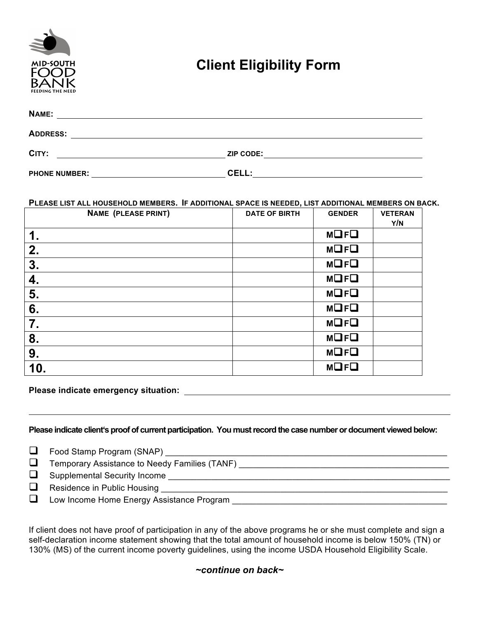

# **Client Eligibility Form**

| <b>NAME:</b>         |           |  |
|----------------------|-----------|--|
| <b>ADDRESS:</b>      |           |  |
| CITY:                | ZIP CODE: |  |
| <b>PHONE NUMBER:</b> | CELL:     |  |

#### **PLEASE LIST ALL HOUSEHOLD MEMBERS. IF ADDITIONAL SPACE IS NEEDED, LIST ADDITIONAL MEMBERS ON BACK.**

| <b>NAME (PLEASE PRINT)</b> | <b>DATE OF BIRTH</b> | <b>GENDER</b> | <b>VETERAN</b><br>Y/N |
|----------------------------|----------------------|---------------|-----------------------|
| $\mathbf 1$ .              |                      | <b>MOFO</b>   |                       |
| 2.                         |                      | <b>MOFO</b>   |                       |
| 3.                         |                      | <b>MOFO</b>   |                       |
| 4.                         |                      | <b>MOFO</b>   |                       |
| 5.                         |                      | <b>MOFO</b>   |                       |
| 6.                         |                      | <b>MOFO</b>   |                       |
| 7.                         |                      | <b>MOFO</b>   |                       |
| 8.                         |                      | <b>MOFO</b>   |                       |
| 9.                         |                      | <b>MOFO</b>   |                       |
| 10.                        |                      | <b>MOFO</b>   |                       |

### **Please indicate emergency situation:**

#### Please indicate client's proof of current participation. You must record the case number or document viewed below:

q Food Stamp Program (SNAP) \_\_\_\_\_\_\_\_\_\_\_\_\_\_\_\_\_\_\_\_\_\_\_\_\_\_\_\_\_\_\_\_\_\_\_\_\_\_\_\_\_\_\_\_\_\_\_\_\_\_\_\_\_\_\_\_\_\_\_

| ⊔ | Temporary Assistance to Needy Families (TANF) |
|---|-----------------------------------------------|
|   | $\Box$ Supplemental Security Income           |
|   | $\Box$ Residence in Public Housing            |
|   | Low Income Home Energy Assistance Program     |

If client does not have proof of participation in any of the above programs he or she must complete and sign a self-declaration income statement showing that the total amount of household income is below 150% (TN) or 130% (MS) of the current income poverty guidelines, using the income USDA Household Eligibility Scale.

# *~continue on back~*